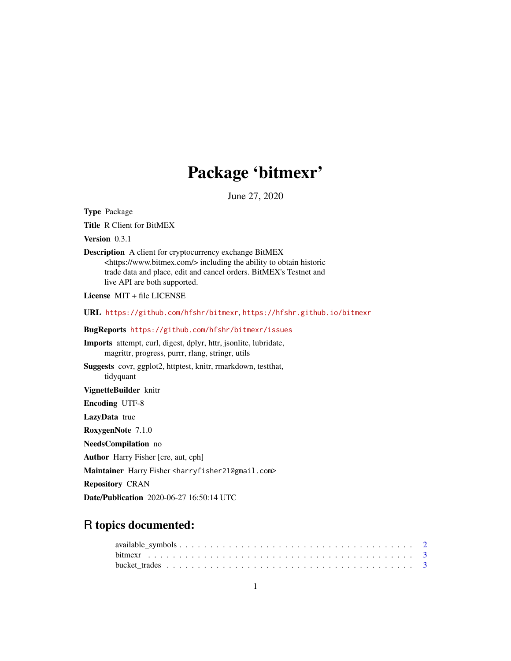# Package 'bitmexr'

June 27, 2020

Type Package

Title R Client for BitMEX

Version 0.3.1

Description A client for cryptocurrency exchange BitMEX <https://www.bitmex.com/> including the ability to obtain historic trade data and place, edit and cancel orders. BitMEX's Testnet and live API are both supported.

License MIT + file LICENSE

URL <https://github.com/hfshr/bitmexr>, <https://hfshr.github.io/bitmexr>

# BugReports <https://github.com/hfshr/bitmexr/issues>

Imports attempt, curl, digest, dplyr, httr, jsonlite, lubridate, magrittr, progress, purrr, rlang, stringr, utils

Suggests covr, ggplot2, httptest, knitr, rmarkdown, testthat, tidyquant

VignetteBuilder knitr

Encoding UTF-8

LazyData true

RoxygenNote 7.1.0

NeedsCompilation no

Author Harry Fisher [cre, aut, cph]

Maintainer Harry Fisher <harryfisher21@gmail.com>

Repository CRAN

Date/Publication 2020-06-27 16:50:14 UTC

# R topics documented: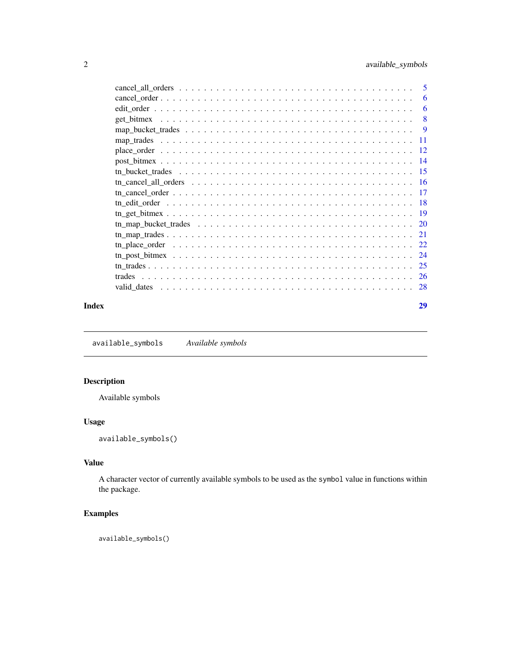<span id="page-1-0"></span>

| Index | 29 |
|-------|----|

<span id="page-1-1"></span>available\_symbols *Available symbols*

# Description

Available symbols

# Usage

available\_symbols()

# Value

A character vector of currently available symbols to be used as the symbol value in functions within the package.

# Examples

available\_symbols()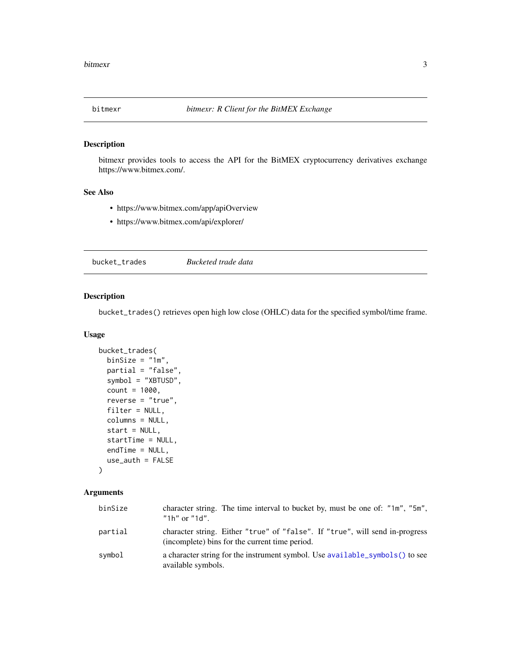<span id="page-2-0"></span>

# Description

bitmexr provides tools to access the API for the BitMEX cryptocurrency derivatives exchange https://www.bitmex.com/.

# See Also

- https://www.bitmex.com/app/apiOverview
- https://www.bitmex.com/api/explorer/

<span id="page-2-1"></span>bucket\_trades *Bucketed trade data*

# Description

bucket\_trades() retrieves open high low close (OHLC) data for the specified symbol/time frame.

# Usage

```
bucket_trades(
 binsize = "1m",partial = "false",
  symbol = "XBTUSD",
  count = 1000,
  reverse = "true",
  filter = NULL,
  columns = NULL,
  start = NULL,
  startTime = NULL,
  endTime = NULL,
 use_auth = FALSE
```
# $\mathcal{L}$

| binSize | character string. The time interval to bucket by, must be one of: "1m", "5m",<br>"1h" or "1d".                                 |
|---------|--------------------------------------------------------------------------------------------------------------------------------|
| partial | character string. Either "true" of "false". If "true", will send in-progress<br>(incomplete) bins for the current time period. |
| symbol  | a character string for the instrument symbol. Use available_symbols() to see<br>available symbols.                             |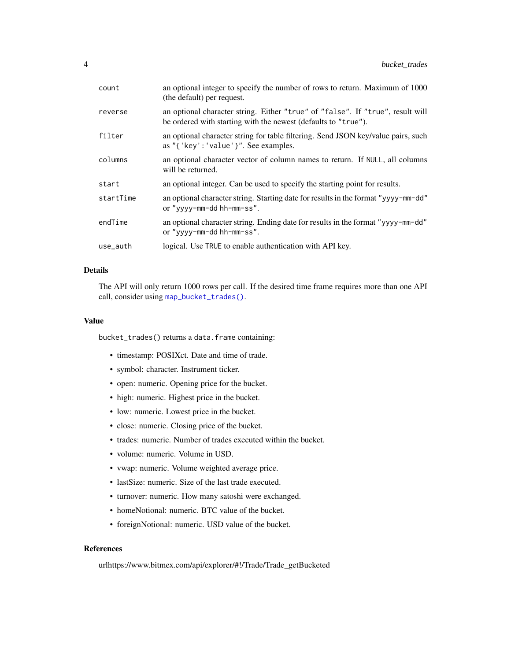<span id="page-3-0"></span>

| count     | an optional integer to specify the number of rows to return. Maximum of 1000<br>(the default) per request.                                       |
|-----------|--------------------------------------------------------------------------------------------------------------------------------------------------|
| reverse   | an optional character string. Either "true" of "false". If "true", result will<br>be ordered with starting with the newest (defaults to "true"). |
| filter    | an optional character string for table filtering. Send JSON key/value pairs, such<br>as "{'key':'value'}". See examples.                         |
| columns   | an optional character vector of column names to return. If NULL, all columns<br>will be returned.                                                |
| start     | an optional integer. Can be used to specify the starting point for results.                                                                      |
| startTime | an optional character string. Starting date for results in the format "yyyy-mm-dd"<br>or "yyyy-mm-dd hh-mm-ss".                                  |
| endTime   | an optional character string. Ending date for results in the format "yyyy-mm-dd"<br>or "yyyy-mm-dd hh-mm-ss".                                    |
| use_auth  | logical. Use TRUE to enable authentication with API key.                                                                                         |

# Details

The API will only return 1000 rows per call. If the desired time frame requires more than one API call, consider using [map\\_bucket\\_trades\(\)](#page-8-1).

#### Value

bucket\_trades() returns a data.frame containing:

- timestamp: POSIXct. Date and time of trade.
- symbol: character. Instrument ticker.
- open: numeric. Opening price for the bucket.
- high: numeric. Highest price in the bucket.
- low: numeric. Lowest price in the bucket.
- close: numeric. Closing price of the bucket.
- trades: numeric. Number of trades executed within the bucket.
- volume: numeric. Volume in USD.
- vwap: numeric. Volume weighted average price.
- lastSize: numeric. Size of the last trade executed.
- turnover: numeric. How many satoshi were exchanged.
- homeNotional: numeric. BTC value of the bucket.
- foreignNotional: numeric. USD value of the bucket.

#### References

urlhttps://www.bitmex.com/api/explorer/#!/Trade/Trade\_getBucketed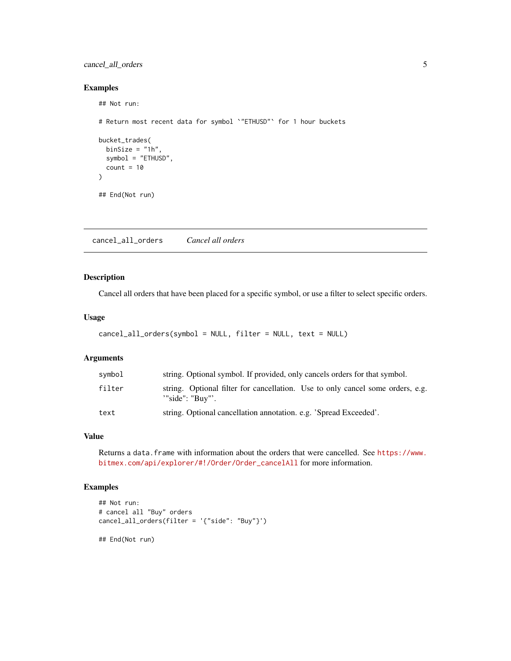# <span id="page-4-0"></span>cancel\_all\_orders 5

# Examples

```
## Not run:
# Return most recent data for symbol `"ETHUSD"` for 1 hour buckets
bucket_trades(
 binSize = "1h",
  symbol = "ETHUSD",
  count = 10)
## End(Not run)
```
cancel\_all\_orders *Cancel all orders*

# Description

Cancel all orders that have been placed for a specific symbol, or use a filter to select specific orders.

# Usage

```
cancel_all_orders(symbol = NULL, filter = NULL, text = NULL)
```
# Arguments

| symbol | string. Optional symbol. If provided, only cancels orders for that symbol.                        |
|--------|---------------------------------------------------------------------------------------------------|
| filter | string. Optional filter for cancellation. Use to only cancel some orders, e.g.<br>"side": "Buy"'. |
| text   | string. Optional cancellation annotation. e.g. 'Spread Exceeded'.                                 |

# Value

Returns a data.frame with information about the orders that were cancelled. See [https://www.](https://www.bitmex.com/api/explorer/#!/Order/Order_cancelAll) [bitmex.com/api/explorer/#!/Order/Order\\_cancelAll](https://www.bitmex.com/api/explorer/#!/Order/Order_cancelAll) for more information.

# Examples

```
## Not run:
# cancel all "Buy" orders
cancel_all_orders(filter = '{"side": "Buy"}')
```
## End(Not run)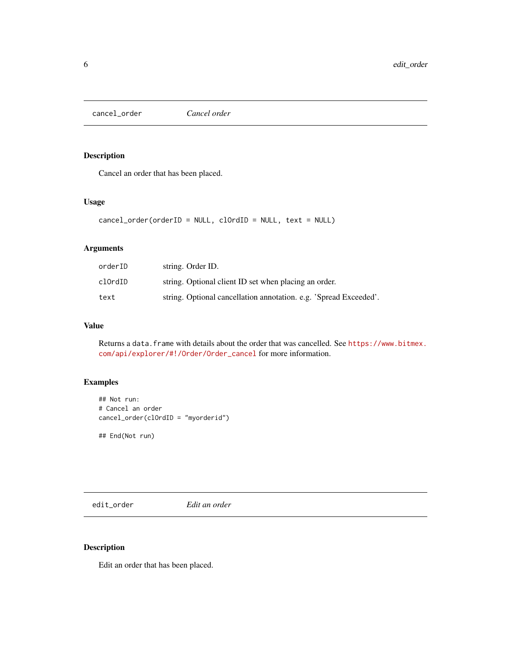<span id="page-5-0"></span>cancel\_order *Cancel order*

# Description

Cancel an order that has been placed.

# Usage

```
cancel_order(orderID = NULL, clOrdID = NULL, text = NULL)
```
# Arguments

| orderID | string. Order ID.                                                 |
|---------|-------------------------------------------------------------------|
| clOrdID | string. Optional client ID set when placing an order.             |
| text    | string. Optional cancellation annotation. e.g. 'Spread Exceeded'. |

# Value

Returns a data.frame with details about the order that was cancelled. See [https://www.bitmex.](https://www.bitmex.com/api/explorer/#!/Order/Order_cancel) [com/api/explorer/#!/Order/Order\\_cancel](https://www.bitmex.com/api/explorer/#!/Order/Order_cancel) for more information.

# Examples

```
## Not run:
# Cancel an order
cancel_order(clOrdID = "myorderid")
```
## End(Not run)

edit\_order *Edit an order*

# Description

Edit an order that has been placed.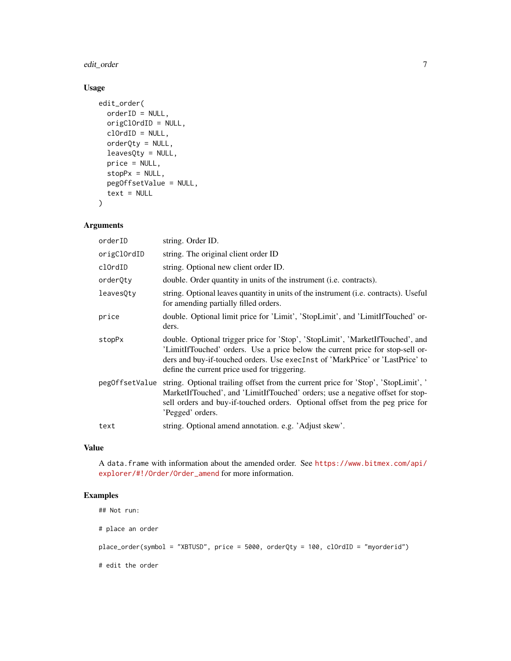edit\_order 7

# Usage

```
edit_order(
 orderID = NULL,
  origClOrdID = NULL,
  clOrdID = NULL,
  orderQty = NULL,
  leavesQty = NULL,
 price = NULL,
  stopPx = NULL,pegOffsetValue = NULL,
  text = NULL
)
```
# Arguments

| orderID        | string. Order ID.                                                                                                                                                                                                                                                                                  |
|----------------|----------------------------------------------------------------------------------------------------------------------------------------------------------------------------------------------------------------------------------------------------------------------------------------------------|
| origClOrdID    | string. The original client order ID                                                                                                                                                                                                                                                               |
| clOrdID        | string. Optional new client order ID.                                                                                                                                                                                                                                                              |
| orderQty       | double. Order quantity in units of the instrument (i.e. contracts).                                                                                                                                                                                                                                |
| leavesQty      | string. Optional leaves quantity in units of the instrument ( <i>i.e.</i> contracts). Useful<br>for amending partially filled orders.                                                                                                                                                              |
| price          | double. Optional limit price for 'Limit', 'StopLimit', and 'LimitIfTouched' or-<br>ders.                                                                                                                                                                                                           |
| stopPx         | double. Optional trigger price for 'Stop', 'StopLimit', 'MarketIfTouched', and<br>'LimitIfTouched' orders. Use a price below the current price for stop-sell or-<br>ders and buy-if-touched orders. Use execInst of 'MarkPrice' or 'LastPrice' to<br>define the current price used for triggering. |
| pegOffsetValue | string. Optional trailing offset from the current price for 'Stop', 'StopLimit', '<br>MarketIfTouched', and 'LimitIfTouched' orders; use a negative offset for stop-<br>sell orders and buy-if-touched orders. Optional offset from the peg price for<br>'Pegged' orders.                          |
| text           | string. Optional amend annotation. e.g. 'Adjust skew'.                                                                                                                                                                                                                                             |

# Value

A data.frame with information about the amended order. See [https://www.bitmex.com/api/](https://www.bitmex.com/api/explorer/#!/Order/Order_amend) [explorer/#!/Order/Order\\_amend](https://www.bitmex.com/api/explorer/#!/Order/Order_amend) for more information.

# Examples

```
## Not run:
```
# place an order

place\_order(symbol = "XBTUSD", price = 5000, orderQty = 100, clOrdID = "myorderid")

# edit the order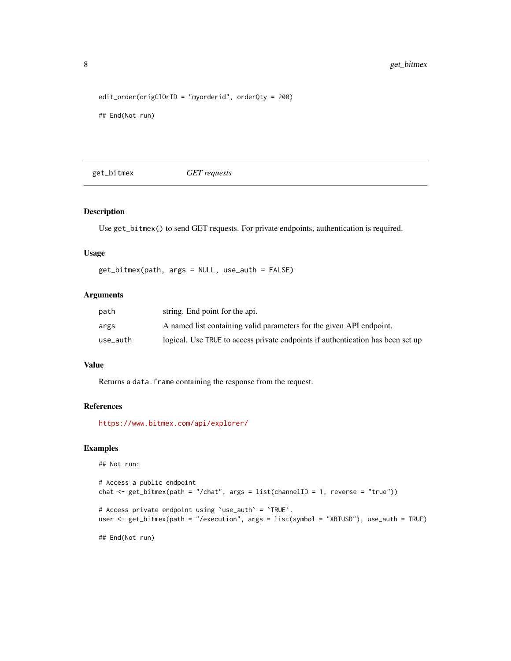```
edit_order(origClOrID = "myorderid", orderQty = 200)
## End(Not run)
```
get\_bitmex *GET requests*

# Description

Use get\_bitmex() to send GET requests. For private endpoints, authentication is required.

# Usage

```
get_bitmex(path, args = NULL, use_auth = FALSE)
```
# Arguments

| path     | string. End point for the api.                                                  |
|----------|---------------------------------------------------------------------------------|
| args     | A named list containing valid parameters for the given API endpoint.            |
| use_auth | logical. Use TRUE to access private endpoints if authentication has been set up |

#### Value

Returns a data. frame containing the response from the request.

# References

<https://www.bitmex.com/api/explorer/>

# Examples

```
## Not run:
# Access a public endpoint
chat \le get_bitmex(path = "/chat", args = list(channelID = 1, reverse = "true"))
# Access private endpoint using `use_auth` = `TRUE`.
user <- get_bitmex(path = "/execution", args = list(symbol = "XBTUSD"), use_auth = TRUE)
## End(Not run)
```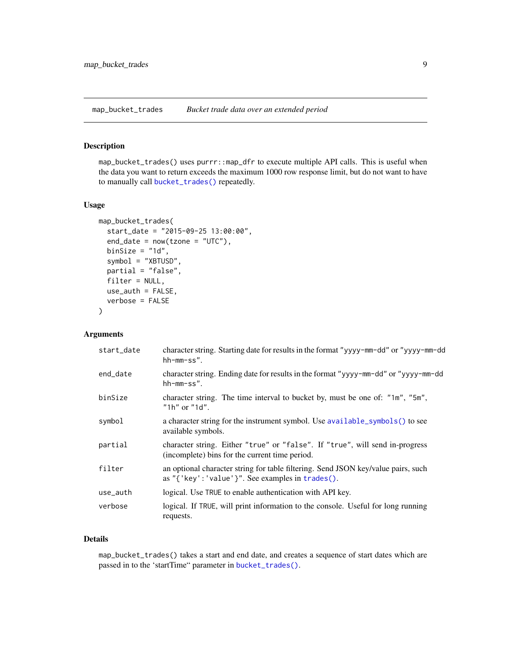<span id="page-8-1"></span><span id="page-8-0"></span>map\_bucket\_trades *Bucket trade data over an extended period*

#### Description

map\_bucket\_trades() uses purrr::map\_dfr to execute multiple API calls. This is useful when the data you want to return exceeds the maximum 1000 row response limit, but do not want to have to manually call [bucket\\_trades\(\)](#page-2-1) repeatedly.

#### Usage

```
map_bucket_trades(
  start_date = "2015-09-25 13:00:00",
  end\_date = now(tzone = "UTC"),binSize = "1d",
  symbol = "XBTUSD",
  partial = "false",
  filter = NULL,
  use_auth = FALSE,verbose = FALSE
)
```
#### Arguments

| start_date | character string. Starting date for results in the format "yyyy-mm-dd" or "yyyy-mm-dd"<br>hh-mm-ss".                                            |
|------------|-------------------------------------------------------------------------------------------------------------------------------------------------|
| end_date   | character string. Ending date for results in the format "yyyy-mm-dd" or "yyyy-mm-dd"<br>$hh-mm-ss$ ".                                           |
| binSize    | character string. The time interval to bucket by, must be one of: "1m", "5m",<br>"1h" or "1d".                                                  |
| symbol     | a character string for the instrument symbol. Use available_symbols() to see<br>available symbols.                                              |
| partial    | character string. Either "true" or "false". If "true", will send in-progress<br>(incomplete) bins for the current time period.                  |
| filter     | an optional character string for table filtering. Send JSON key/value pairs, such<br>as " $\{$ 'key': 'value' $\}$ ". See examples in trades(). |
| use_auth   | logical. Use TRUE to enable authentication with API key.                                                                                        |
| verbose    | logical. If TRUE, will print information to the console. Useful for long running<br>requests.                                                   |

#### Details

map\_bucket\_trades() takes a start and end date, and creates a sequence of start dates which are passed in to the 'startTime" parameter in [bucket\\_trades\(\)](#page-2-1).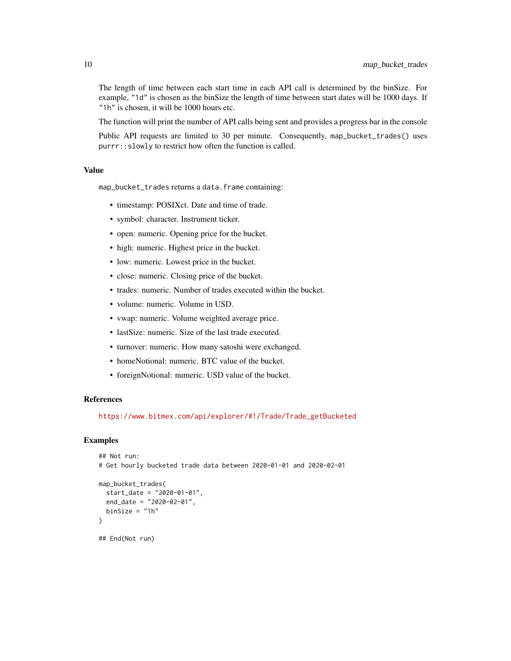The length of time between each start time in each API call is determined by the binSize. For example, "1d" is chosen as the binSize the length of time between start dates will be 1000 days. If "1h" is chosen, it will be 1000 hours etc.

The function will print the number of API calls being sent and provides a progress bar in the console

Public API requests are limited to 30 per minute. Consequently, map\_bucket\_trades() uses purrr::slowly to restrict how often the function is called.

# Value

map\_bucket\_trades returns a data.frame containing:

- timestamp: POSIXct. Date and time of trade.
- symbol: character. Instrument ticker.
- open: numeric. Opening price for the bucket.
- high: numeric. Highest price in the bucket.
- low: numeric. Lowest price in the bucket.
- close: numeric. Closing price of the bucket.
- trades: numeric. Number of trades executed within the bucket.
- volume: numeric. Volume in USD.
- vwap: numeric. Volume weighted average price.
- last Size: numeric. Size of the last trade executed.
- turnover: numeric. How many satoshi were exchanged.
- homeNotional: numeric. BTC value of the bucket.
- foreignNotional: numeric. USD value of the bucket.

# References

[https://www.bitmex.com/api/explorer/#!/Trade/Trade\\_getBucketed](https://www.bitmex.com/api/explorer/#!/Trade/Trade_getBucketed)

# Examples

```
## Not run:
# Get hourly bucketed trade data between 2020-01-01 and 2020-02-01
map_bucket_trades(
 start_date = "2020-01-01",
 end_date = "2020-02-01",
 binsize = "1h")
## End(Not run)
```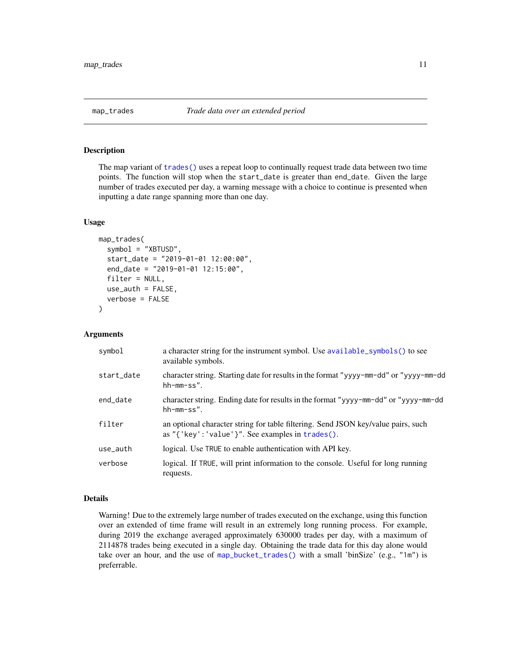<span id="page-10-0"></span>

#### Description

The map variant of [trades\(\)](#page-25-1) uses a repeat loop to continually request trade data between two time points. The function will stop when the start\_date is greater than end\_date. Given the large number of trades executed per day, a warning message with a choice to continue is presented when inputting a date range spanning more than one day.

#### Usage

```
map_trades(
  symbol = "XBTUSD",
  start_date = "2019-01-01 12:00:00",
  end_date = "2019-01-01 12:15:00",
  filter = NULL,
  use_auth = FALSE,
  verbose = FALSE
)
```
#### Arguments

| symbol     | a character string for the instrument symbol. Use available_symbols() to see<br>available symbols.                                        |
|------------|-------------------------------------------------------------------------------------------------------------------------------------------|
| start date | character string. Starting date for results in the format "yyyy-mm-dd" or "yyyy-mm-dd"<br>$hh-mm-ss$ ".                                   |
| end date   | character string. Ending date for results in the format "yyyy-mm-dd" or "yyyy-mm-dd"<br>$hh-mm-ss$ ".                                     |
| filter     | an optional character string for table filtering. Send JSON key/value pairs, such<br>as " ${'$ key': 'value'}". See examples in trades(). |
| use_auth   | logical. Use TRUE to enable authentication with API key.                                                                                  |
| verbose    | logical. If TRUE, will print information to the console. Useful for long running<br>requests.                                             |

# Details

Warning! Due to the extremely large number of trades executed on the exchange, using this function over an extended of time frame will result in an extremely long running process. For example, during 2019 the exchange averaged approximately 630000 trades per day, with a maximum of 2114878 trades being executed in a single day. Obtaining the trade data for this day alone would take over an hour, and the use of [map\\_bucket\\_trades\(\)](#page-8-1) with a small 'binSize' (e.g., "1m") is preferrable.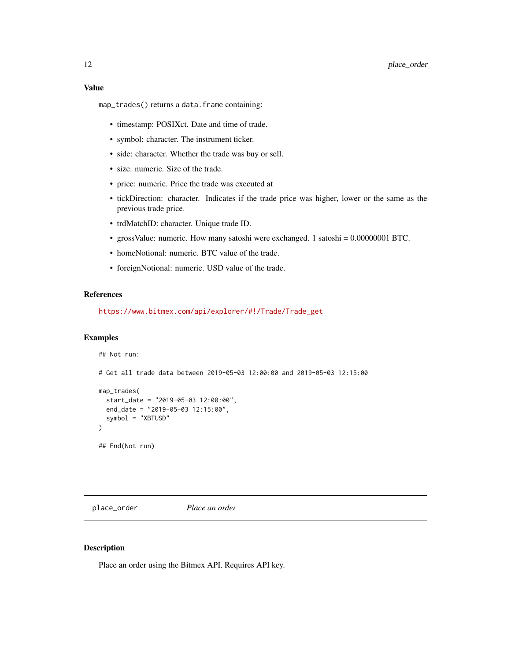# <span id="page-11-0"></span>Value

map\_trades() returns a data.frame containing:

- timestamp: POSIXct. Date and time of trade.
- symbol: character. The instrument ticker.
- side: character. Whether the trade was buy or sell.
- size: numeric. Size of the trade.
- price: numeric. Price the trade was executed at
- tickDirection: character. Indicates if the trade price was higher, lower or the same as the previous trade price.
- trdMatchID: character. Unique trade ID.
- grossValue: numeric. How many satoshi were exchanged. 1 satoshi = 0.00000001 BTC.
- homeNotional: numeric. BTC value of the trade.
- foreignNotional: numeric. USD value of the trade.

#### References

[https://www.bitmex.com/api/explorer/#!/Trade/Trade\\_get](https://www.bitmex.com/api/explorer/#!/Trade/Trade_get)

#### Examples

```
## Not run:
# Get all trade data between 2019-05-03 12:00:00 and 2019-05-03 12:15:00
map_trades(
  start_date = "2019-05-03 12:00:00",
  end_date = "2019-05-03 12:15:00",
  symbol = "XBTUSD"
)
## End(Not run)
```
place\_order *Place an order*

#### Description

Place an order using the Bitmex API. Requires API key.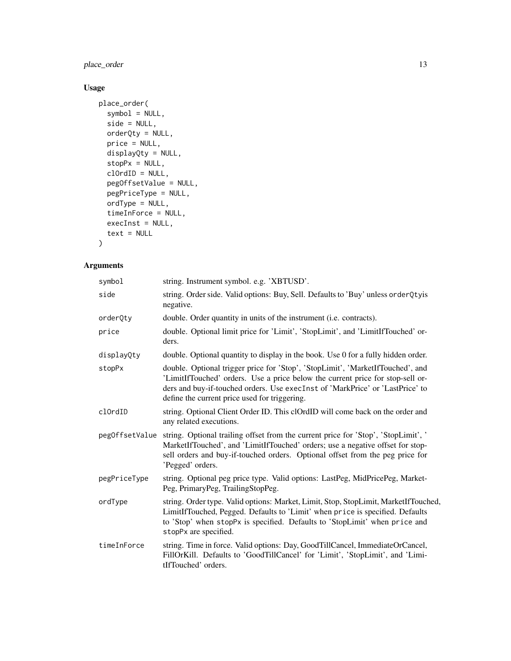place\_order 13

# Usage

```
place_order(
  symbol = NULL,
  side = NULL,
 orderQty = NULL,
 price = NULL,
 displayQty = NULL,
  stopPx = NULL,clOrdID = NULL,
 pegOffsetValue = NULL,
 pegPriceType = NULL,
 ordType = NULL,
 timeInForce = NULL,
 execInst = NULL,
  text = NULL\mathcal{L}
```

| symbol         | string. Instrument symbol. e.g. 'XBTUSD'.                                                                                                                                                                                                                                                          |
|----------------|----------------------------------------------------------------------------------------------------------------------------------------------------------------------------------------------------------------------------------------------------------------------------------------------------|
| side           | string. Order side. Valid options: Buy, Sell. Defaults to 'Buy' unless orderQtyis<br>negative.                                                                                                                                                                                                     |
| orderQty       | double. Order quantity in units of the instrument (i.e. contracts).                                                                                                                                                                                                                                |
| price          | double. Optional limit price for 'Limit', 'StopLimit', and 'LimitIfTouched' or-<br>ders.                                                                                                                                                                                                           |
| displayQty     | double. Optional quantity to display in the book. Use 0 for a fully hidden order.                                                                                                                                                                                                                  |
| stopPx         | double. Optional trigger price for 'Stop', 'StopLimit', 'MarketIfTouched', and<br>'LimitIfTouched' orders. Use a price below the current price for stop-sell or-<br>ders and buy-if-touched orders. Use execInst of 'MarkPrice' or 'LastPrice' to<br>define the current price used for triggering. |
| clOrdID        | string. Optional Client Order ID. This clOrdID will come back on the order and<br>any related executions.                                                                                                                                                                                          |
| pegOffsetValue | string. Optional trailing offset from the current price for 'Stop', 'StopLimit', '<br>MarketIfTouched', and 'LimitIfTouched' orders; use a negative offset for stop-<br>sell orders and buy-if-touched orders. Optional offset from the peg price for<br>'Pegged' orders.                          |
| pegPriceType   | string. Optional peg price type. Valid options: LastPeg, MidPricePeg, Market-<br>Peg, PrimaryPeg, TrailingStopPeg.                                                                                                                                                                                 |
| ordTvpe        | string. Order type. Valid options: Market, Limit, Stop, StopLimit, MarketIfTouched,<br>LimitIfTouched, Pegged. Defaults to 'Limit' when price is specified. Defaults<br>to 'Stop' when stopPx is specified. Defaults to 'StopLimit' when price and<br>stopPx are specified.                        |
| timeInForce    | string. Time in force. Valid options: Day, GoodTillCancel, ImmediateOrCancel,<br>FillOrKill. Defaults to 'GoodTillCancel' for 'Limit', 'StopLimit', and 'Limi-<br>tIfTouched' orders.                                                                                                              |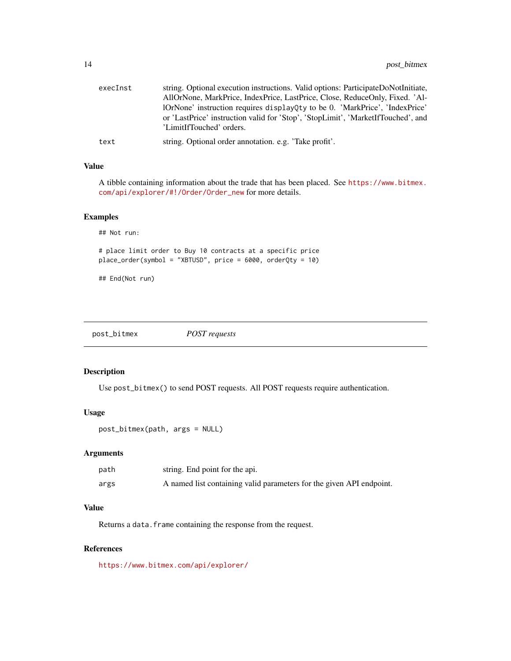<span id="page-13-0"></span>

| execInst | string. Optional execution instructions. Valid options: ParticipateDoNotInitiate,                            |
|----------|--------------------------------------------------------------------------------------------------------------|
|          | AllOrNone, MarkPrice, IndexPrice, LastPrice, Close, ReduceOnly, Fixed. 'Al-                                  |
|          | lOrNone' instruction requires displayQty to be 0. 'MarkPrice', 'IndexPrice'                                  |
|          | or 'LastPrice' instruction valid for 'Stop', 'StopLimit', 'MarketIfTouched', and<br>'LimitIfTouched' orders. |
| text     | string. Optional order annotation. e.g. 'Take profit'.                                                       |

# Value

A tibble containing information about the trade that has been placed. See [https://www.bitmex.](https://www.bitmex.com/api/explorer/#!/Order/Order_new) [com/api/explorer/#!/Order/Order\\_new](https://www.bitmex.com/api/explorer/#!/Order/Order_new) for more details.

# Examples

```
## Not run:
# place limit order to Buy 10 contracts at a specific price
place_order(symbol = "XBTUSD", price = 6000, orderQty = 10)
```
## End(Not run)

post\_bitmex *POST requests*

# Description

Use post\_bitmex() to send POST requests. All POST requests require authentication.

#### Usage

```
post_bitmex(path, args = NULL)
```
#### Arguments

| path | string. End point for the api.                                       |
|------|----------------------------------------------------------------------|
| args | A named list containing valid parameters for the given API endpoint. |

# Value

Returns a data. frame containing the response from the request.

#### References

<https://www.bitmex.com/api/explorer/>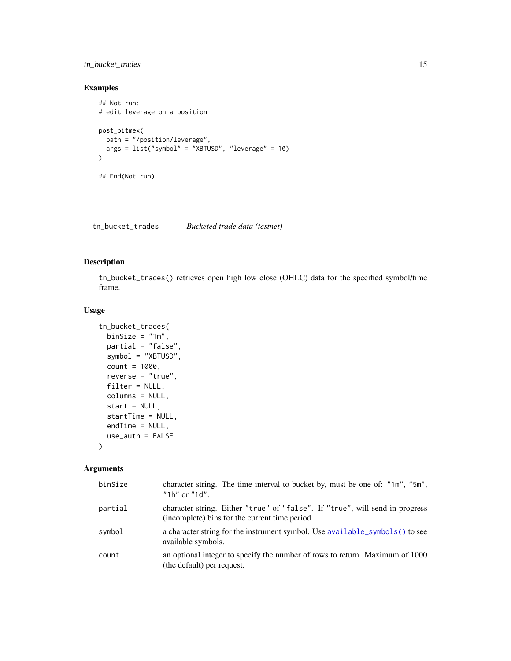# <span id="page-14-0"></span>tn\_bucket\_trades 15

# Examples

```
## Not run:
# edit leverage on a position
post_bitmex(
  path = "/position/leverage",
  args = list("symbol" = "XBTUSD", "leverage" = 10)\mathcal{L}## End(Not run)
```
<span id="page-14-1"></span>tn\_bucket\_trades *Bucketed trade data (testnet)*

# Description

tn\_bucket\_trades() retrieves open high low close (OHLC) data for the specified symbol/time frame.

#### Usage

```
tn_bucket_trades(
 binSize = "1m",
 partial = "false",
  symbol = "XBTUSD",
  count = 1000,
  reverse = "true",
 filter = NULL,
  columns = NULL,
  start = NULL,
  startTime = NULL,
 endTime = NULL,
 use_auth = FALSE
)
```

| binSize | character string. The time interval to bucket by, must be one of: "1m", "5m",<br>"1h" or "1d".                                 |
|---------|--------------------------------------------------------------------------------------------------------------------------------|
| partial | character string. Either "true" of "false". If "true", will send in-progress<br>(incomplete) bins for the current time period. |
| symbol  | a character string for the instrument symbol. Use available_symbols() to see<br>available symbols.                             |
| count   | an optional integer to specify the number of rows to return. Maximum of 1000<br>(the default) per request.                     |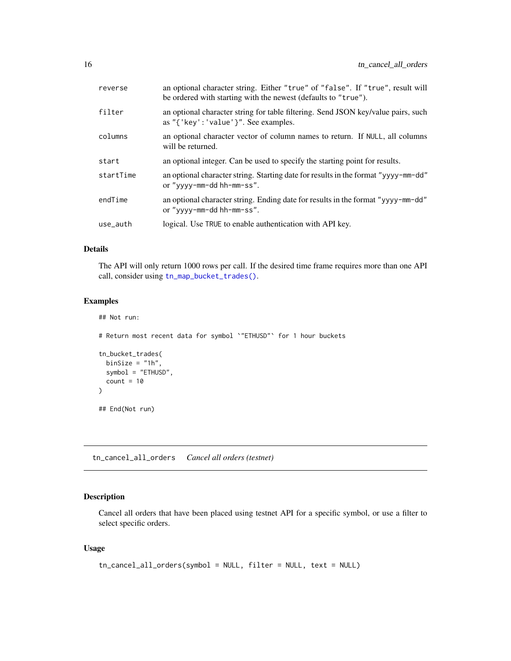<span id="page-15-0"></span>

| reverse   | an optional character string. Either "true" of "false". If "true", result will<br>be ordered with starting with the newest (defaults to "true"). |
|-----------|--------------------------------------------------------------------------------------------------------------------------------------------------|
| filter    | an optional character string for table filtering. Send JSON key/value pairs, such<br>as $"$ { 'key' : 'value' }". See examples.                  |
| columns   | an optional character vector of column names to return. If NULL, all columns<br>will be returned.                                                |
| start     | an optional integer. Can be used to specify the starting point for results.                                                                      |
| startTime | an optional character string. Starting date for results in the format "yyyy-mm-dd"<br>or "yyyy-mm-dd hh-mm-ss".                                  |
| endTime   | an optional character string. Ending date for results in the format "yyyy-mm-dd"<br>or "yyyy-mm-dd hh-mm-ss".                                    |
| use_auth  | logical. Use TRUE to enable authentication with API key.                                                                                         |
|           |                                                                                                                                                  |

#### Details

The API will only return 1000 rows per call. If the desired time frame requires more than one API call, consider using [tn\\_map\\_bucket\\_trades\(\)](#page-19-1).

# Examples

```
## Not run:
# Return most recent data for symbol `"ETHUSD"` for 1 hour buckets
tn_bucket_trades(
 binSize = "1h",
  symbol = "ETHUSD",
  count = 10)
## End(Not run)
```
tn\_cancel\_all\_orders *Cancel all orders (testnet)*

# Description

Cancel all orders that have been placed using testnet API for a specific symbol, or use a filter to select specific orders.

### Usage

```
tn_cancel_all_orders(symbol = NULL, filter = NULL, text = NULL)
```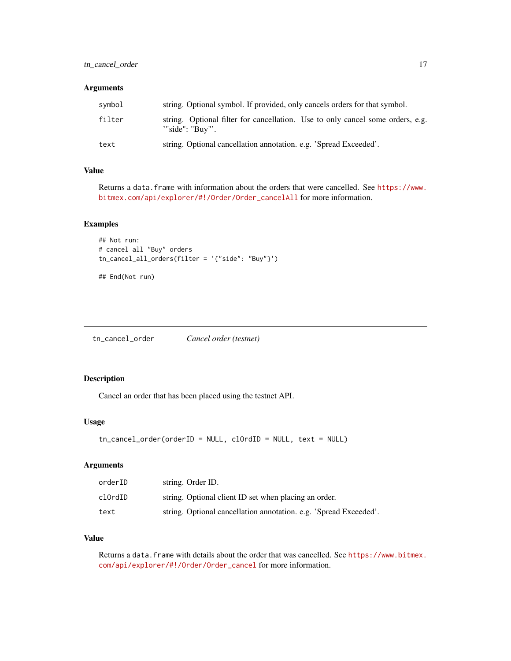# <span id="page-16-0"></span>Arguments

| svmbol | string. Optional symbol. If provided, only cancels orders for that symbol.                            |
|--------|-------------------------------------------------------------------------------------------------------|
| filter | string. Optional filter for cancellation. Use to only cancel some orders, e.g.<br>$"$ "side": "Buv"'. |
| text   | string. Optional cancellation annotation. e.g. 'Spread Exceeded'.                                     |

# Value

Returns a data.frame with information about the orders that were cancelled. See [https://www.](https://www.bitmex.com/api/explorer/#!/Order/Order_cancelAll) [bitmex.com/api/explorer/#!/Order/Order\\_cancelAll](https://www.bitmex.com/api/explorer/#!/Order/Order_cancelAll) for more information.

# Examples

```
## Not run:
# cancel all "Buy" orders
tn_cancel_all_orders(filter = '{"side": "Buy"}')
```
## End(Not run)

tn\_cancel\_order *Cancel order (testnet)*

# Description

Cancel an order that has been placed using the testnet API.

# Usage

```
tn_cancel_order(orderID = NULL, clOrdID = NULL, text = NULL)
```
# Arguments

| orderID | string. Order ID.                                                 |
|---------|-------------------------------------------------------------------|
| clOrdID | string. Optional client ID set when placing an order.             |
| text    | string. Optional cancellation annotation. e.g. 'Spread Exceeded'. |

# Value

Returns a data.frame with details about the order that was cancelled. See [https://www.bitmex.](https://www.bitmex.com/api/explorer/#!/Order/Order_cancel) [com/api/explorer/#!/Order/Order\\_cancel](https://www.bitmex.com/api/explorer/#!/Order/Order_cancel) for more information.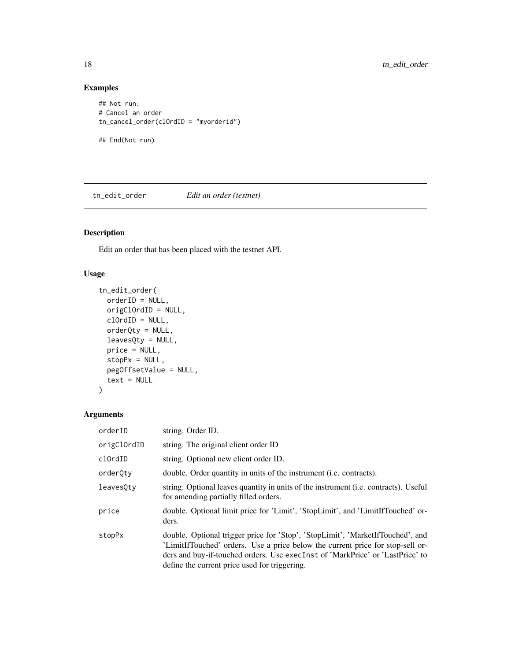# Examples

```
## Not run:
# Cancel an order
tn_cancel_order(clOrdID = "myorderid")
## End(Not run)
```
tn\_edit\_order *Edit an order (testnet)*

# Description

Edit an order that has been placed with the testnet API.

# Usage

```
tn_edit_order(
 orderID = NULL,
  origClOrdID = NULL,
 clOrdID = NULL,
  orderQty = NULL,
  leavesQty = NULL,
 price = NULL,
  stopPx = NULL,pegOffsetValue = NULL,
  text = NULL\mathcal{E}
```

| orderID     | string. Order ID.                                                                                                                                                                                                                                                                                  |
|-------------|----------------------------------------------------------------------------------------------------------------------------------------------------------------------------------------------------------------------------------------------------------------------------------------------------|
| origClOrdID | string. The original client order ID                                                                                                                                                                                                                                                               |
| clOrdID     | string. Optional new client order ID.                                                                                                                                                                                                                                                              |
| orderQty    | double. Order quantity in units of the instrument ( <i>i.e.</i> contracts).                                                                                                                                                                                                                        |
| leaves0ty   | string. Optional leaves quantity in units of the instrument ( <i>i.e.</i> contracts). Useful<br>for amending partially filled orders.                                                                                                                                                              |
| price       | double. Optional limit price for 'Limit', 'StopLimit', and 'LimitIfTouched' or-<br>ders.                                                                                                                                                                                                           |
| stopPx      | double. Optional trigger price for 'Stop', 'StopLimit', 'MarketIfTouched', and<br>'LimitIfTouched' orders. Use a price below the current price for stop-sell or-<br>ders and buy-if-touched orders. Use execInst of 'MarkPrice' or 'LastPrice' to<br>define the current price used for triggering. |

<span id="page-17-0"></span>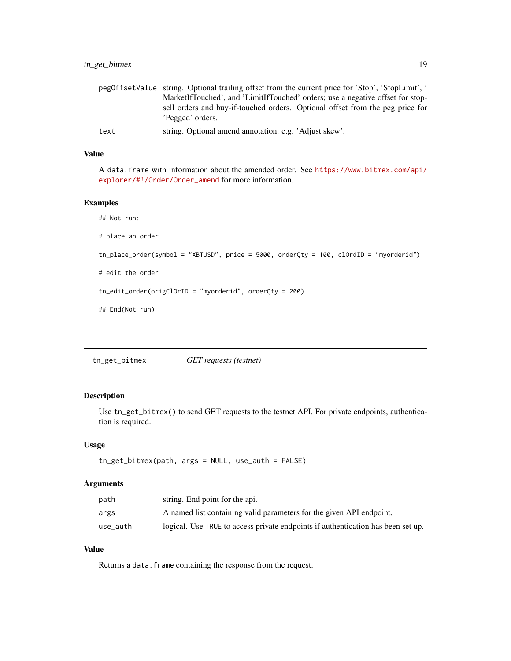<span id="page-18-0"></span>

|      | peg0ffsetValue string. Optional trailing offset from the current price for 'Stop', 'StopLimit', ' |
|------|---------------------------------------------------------------------------------------------------|
|      | MarketIfTouched', and 'LimitIfTouched' orders; use a negative offset for stop-                    |
|      | sell orders and buy-if-touched orders. Optional offset from the peg price for<br>'Pegged' orders. |
| text | string. Optional amend annotation. e.g. 'Adjust skew'.                                            |

# Value

A data.frame with information about the amended order. See [https://www.bitmex.com/api/](https://www.bitmex.com/api/explorer/#!/Order/Order_amend) [explorer/#!/Order/Order\\_amend](https://www.bitmex.com/api/explorer/#!/Order/Order_amend) for more information.

# Examples

```
## Not run:
# place an order
tn_place_order(symbol = "XBTUSD", price = 5000, orderQty = 100, clOrdID = "myorderid")
# edit the order
tn_edit_order(origClOrID = "myorderid", orderQty = 200)
## End(Not run)
```
tn\_get\_bitmex *GET requests (testnet)*

# Description

Use tn\_get\_bitmex() to send GET requests to the testnet API. For private endpoints, authentication is required.

#### Usage

```
tn_get_bitmex(path, args = NULL, use_auth = FALSE)
```
# Arguments

| path     | string. End point for the api.                                                   |
|----------|----------------------------------------------------------------------------------|
| args     | A named list containing valid parameters for the given API endpoint.             |
| use auth | logical. Use TRUE to access private endpoints if authentication has been set up. |

# Value

Returns a data. frame containing the response from the request.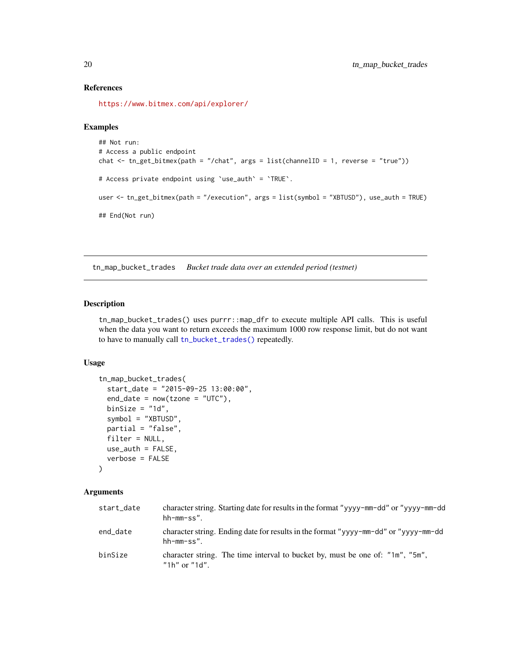#### References

<https://www.bitmex.com/api/explorer/>

#### Examples

```
## Not run:
# Access a public endpoint
chat <- tn_get_bitmex(path = "/chat", args = list(channelID = 1, reverse = "true"))
# Access private endpoint using `use_auth` = `TRUE`.
user <- tn_get_bitmex(path = "/execution", args = list(symbol = "XBTUSD"), use_auth = TRUE)
## End(Not run)
```
<span id="page-19-1"></span>tn\_map\_bucket\_trades *Bucket trade data over an extended period (testnet)*

# Description

tn\_map\_bucket\_trades() uses purrr::map\_dfr to execute multiple API calls. This is useful when the data you want to return exceeds the maximum 1000 row response limit, but do not want to have to manually call [tn\\_bucket\\_trades\(\)](#page-14-1) repeatedly.

#### Usage

```
tn_map_bucket_trades(
  start_date = "2015-09-25 13:00:00",
  end_data = now(tzone = "UTC"),
 binSize = "1d",
  symbol = "XBTUSD",
  partial = "false",
  filter = NULL,
  use_auth = FALSE,verbose = FALSE
```

```
)
```

| start_date | character string. Starting date for results in the format "yyyy-mm-dd" or "yyyy-mm-dd"<br>$hh-mm-ss$ ". |
|------------|---------------------------------------------------------------------------------------------------------|
| end_date   | character string. Ending date for results in the format "yyyy-mm-dd" or "yyyy-mm-dd"<br>$hh-mm-ss$ ".   |
| binSize    | character string. The time interval to bucket by, must be one of: "1m", "5m",<br>"1h" or "1d"           |

<span id="page-19-0"></span>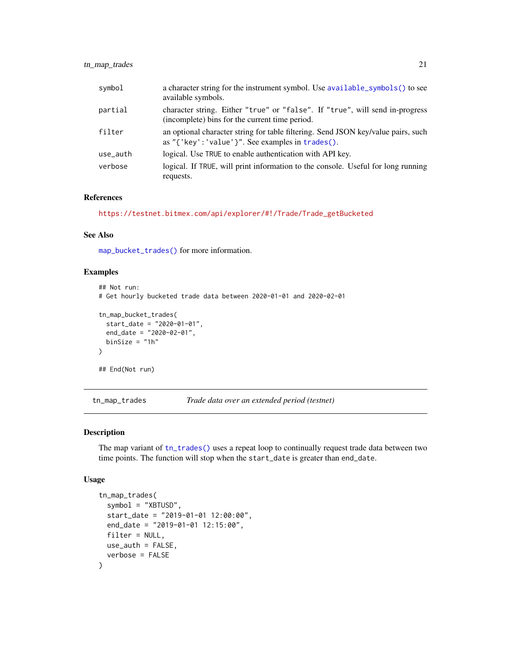<span id="page-20-0"></span>

| symbol   | a character string for the instrument symbol. Use available_symbols() to see<br>available symbols.                                   |
|----------|--------------------------------------------------------------------------------------------------------------------------------------|
| partial  | character string. Either "true" or "false". If "true", will send in-progress<br>(incomplete) bins for the current time period.       |
| filter   | an optional character string for table filtering. Send JSON key/value pairs, such<br>as "{'key':'value'}". See examples in trades(). |
| use_auth | logical. Use TRUE to enable authentication with API key.                                                                             |
| verbose  | logical. If TRUE, will print information to the console. Useful for long running<br>requests.                                        |

# References

[https://testnet.bitmex.com/api/explorer/#!/Trade/Trade\\_getBucketed](https://testnet.bitmex.com/api/explorer/#!/Trade/Trade_getBucketed)

# See Also

[map\\_bucket\\_trades\(\)](#page-8-1) for more information.

# Examples

```
## Not run:
# Get hourly bucketed trade data between 2020-01-01 and 2020-02-01
tn_map_bucket_trades(
  start_date = "2020-01-01",
  end_date = "2020-02-01",
 binSize = "1h"\mathcal{L}## End(Not run)
```
tn\_map\_trades *Trade data over an extended period (testnet)*

# Description

The map variant of [tn\\_trades\(\)](#page-24-1) uses a repeat loop to continually request trade data between two time points. The function will stop when the start\_date is greater than end\_date.

#### Usage

```
tn_map_trades(
 symbol = "XBTUSD",
 start_date = "2019-01-01 12:00:00",
 end_date = "2019-01-01 12:15:00",
 filter = NULL,
 use_auth = FALSE,verbose = FALSE
)
```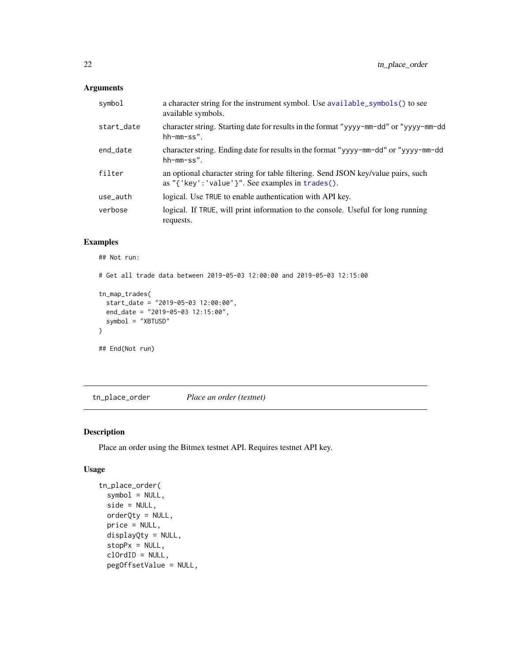# <span id="page-21-0"></span>Arguments

| symbol     | a character string for the instrument symbol. Use available_symbols() to see<br>available symbols.                                        |
|------------|-------------------------------------------------------------------------------------------------------------------------------------------|
| start_date | character string. Starting date for results in the format "yyyy-mm-dd" or "yyyy-mm-dd"<br>$hh-mm-ss$ ".                                   |
| end_date   | character string. Ending date for results in the format "yyyy-mm-dd" or "yyyy-mm-dd"<br>$hh-mm-ss$ ".                                     |
| filter     | an optional character string for table filtering. Send JSON key/value pairs, such<br>as " ${'$ key': 'value'}". See examples in trades(). |
| use_auth   | logical. Use TRUE to enable authentication with API key.                                                                                  |
| verbose    | logical. If TRUE, will print information to the console. Useful for long running<br>requests.                                             |

# Examples

## Not run:

```
# Get all trade data between 2019-05-03 12:00:00 and 2019-05-03 12:15:00
tn_map_trades(
  start_date = "2019-05-03 12:00:00",
  end_date = "2019-05-03 12:15:00",
```

```
symbol = "XBTUSD"
)
```
## End(Not run)

tn\_place\_order *Place an order (testnet)*

# Description

Place an order using the Bitmex testnet API. Requires testnet API key.

# Usage

```
tn_place_order(
  symbol = NULL,
 side = NULL,
 orderQty = NULL,
 price = NULL,
 displayQty = NULL,
  stopPx = NULL,clOrdID = NULL,
 pegOffsetValue = NULL,
```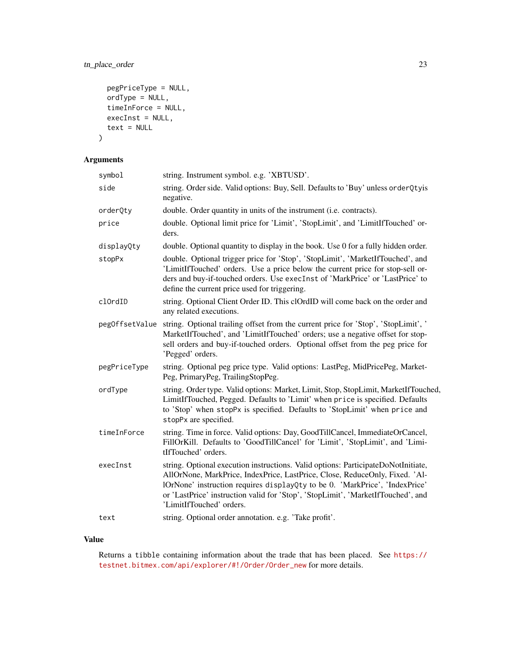# tn\_place\_order 23

```
pegPriceType = NULL,
  ordType = NULL,
  timeInForce = NULL,
  execInst = NULL,
  text = NULL\mathcal{L}
```
# Arguments

| symbol         | string. Instrument symbol. e.g. 'XBTUSD'.                                                                                                                                                                                                                                                                                                                       |
|----------------|-----------------------------------------------------------------------------------------------------------------------------------------------------------------------------------------------------------------------------------------------------------------------------------------------------------------------------------------------------------------|
| side           | string. Order side. Valid options: Buy, Sell. Defaults to 'Buy' unless orderQtyis<br>negative.                                                                                                                                                                                                                                                                  |
| orderQty       | double. Order quantity in units of the instrument (i.e. contracts).                                                                                                                                                                                                                                                                                             |
| price          | double. Optional limit price for 'Limit', 'StopLimit', and 'LimitIfTouched' or-<br>ders.                                                                                                                                                                                                                                                                        |
| displayQty     | double. Optional quantity to display in the book. Use 0 for a fully hidden order.                                                                                                                                                                                                                                                                               |
| stopPx         | double. Optional trigger price for 'Stop', 'StopLimit', 'MarketIfTouched', and<br>'LimitIfTouched' orders. Use a price below the current price for stop-sell or-<br>ders and buy-if-touched orders. Use execInst of 'MarkPrice' or 'LastPrice' to<br>define the current price used for triggering.                                                              |
| clOrdID        | string. Optional Client Order ID. This clOrdID will come back on the order and<br>any related executions.                                                                                                                                                                                                                                                       |
| pegOffsetValue | string. Optional trailing offset from the current price for 'Stop', 'StopLimit', '<br>MarketIfTouched', and 'LimitIfTouched' orders; use a negative offset for stop-<br>sell orders and buy-if-touched orders. Optional offset from the peg price for<br>'Pegged' orders.                                                                                       |
| pegPriceType   | string. Optional peg price type. Valid options: LastPeg, MidPricePeg, Market-<br>Peg, PrimaryPeg, TrailingStopPeg.                                                                                                                                                                                                                                              |
| ordType        | string. Order type. Valid options: Market, Limit, Stop, StopLimit, MarketIfTouched,<br>LimitIfTouched, Pegged. Defaults to 'Limit' when price is specified. Defaults<br>to 'Stop' when stopPx is specified. Defaults to 'StopLimit' when price and<br>stopPx are specified.                                                                                     |
| timeInForce    | string. Time in force. Valid options: Day, GoodTillCancel, ImmediateOrCancel,<br>FillOrKill. Defaults to 'GoodTillCancel' for 'Limit', 'StopLimit', and 'Limi-<br>tIfTouched' orders.                                                                                                                                                                           |
| execInst       | string. Optional execution instructions. Valid options: ParticipateDoNotInitiate,<br>AllOrNone, MarkPrice, IndexPrice, LastPrice, Close, ReduceOnly, Fixed. 'Al-<br>lOrNone' instruction requires displayQty to be 0. 'MarkPrice', 'IndexPrice'<br>or 'LastPrice' instruction valid for 'Stop', 'StopLimit', 'MarketIfTouched', and<br>'LimitIfTouched' orders. |
| text           | string. Optional order annotation. e.g. 'Take profit'.                                                                                                                                                                                                                                                                                                          |

# Value

Returns a tibble containing information about the trade that has been placed. See [https://](https://testnet.bitmex.com/api/explorer/#!/Order/Order_new) [testnet.bitmex.com/api/explorer/#!/Order/Order\\_new](https://testnet.bitmex.com/api/explorer/#!/Order/Order_new) for more details.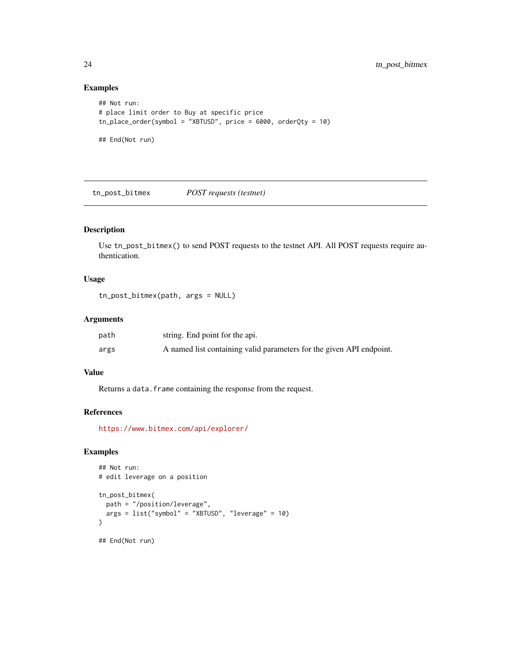# Examples

```
## Not run:
# place limit order to Buy at specific price
tn_place_order(symbol = "XBTUSD", price = 6000, orderQty = 10)
## End(Not run)
```
tn\_post\_bitmex *POST requests (testnet)*

# Description

Use tn\_post\_bitmex() to send POST requests to the testnet API. All POST requests require authentication.

# Usage

tn\_post\_bitmex(path, args = NULL)

#### Arguments

| path | string. End point for the api.                                       |
|------|----------------------------------------------------------------------|
| args | A named list containing valid parameters for the given API endpoint. |

# Value

Returns a data. frame containing the response from the request.

#### References

<https://www.bitmex.com/api/explorer/>

# Examples

```
## Not run:
# edit leverage on a position
tn_post_bitmex(
 path = "/position/leverage",
  args = list("symbol" = "XBTUSD", "leverage" = 10)
\lambda## End(Not run)
```
<span id="page-23-0"></span>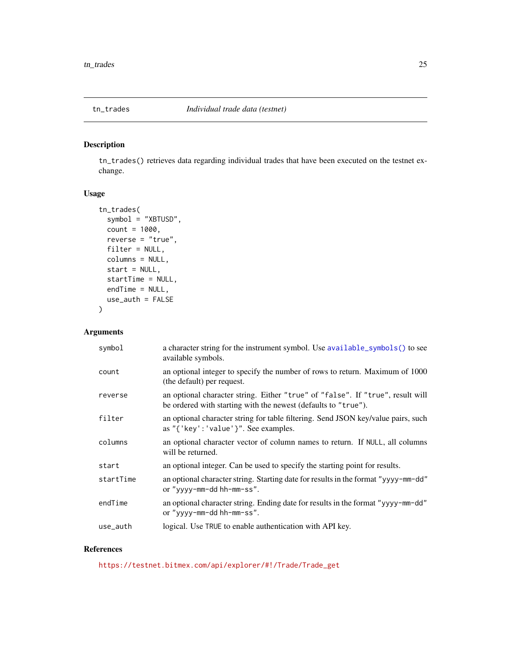<span id="page-24-1"></span><span id="page-24-0"></span>

# Description

tn\_trades() retrieves data regarding individual trades that have been executed on the testnet exchange.

# Usage

```
tn_trades(
  symbol = "XBTUSD",
 count = 1000,
 reverse = "true",filter = NULL,
  columns = NULL,
  start = NULL,
  startTime = NULL,
 endTime = NULL,
  use_auth = FALSE
)
```
# Arguments

| symbol    | a character string for the instrument symbol. Use available_symbols() to see<br>available symbols.                                               |
|-----------|--------------------------------------------------------------------------------------------------------------------------------------------------|
| count     | an optional integer to specify the number of rows to return. Maximum of 1000<br>(the default) per request.                                       |
| reverse   | an optional character string. Either "true" of "false". If "true", result will<br>be ordered with starting with the newest (defaults to "true"). |
| filter    | an optional character string for table filtering. Send JSON key/value pairs, such<br>as " $\{$ 'key': 'value' $\}$ ". See examples.              |
| columns   | an optional character vector of column names to return. If NULL, all columns<br>will be returned.                                                |
| start     | an optional integer. Can be used to specify the starting point for results.                                                                      |
| startTime | an optional character string. Starting date for results in the format "yyyy-mm-dd"<br>or "yyyy-mm-dd hh-mm-ss".                                  |
| endTime   | an optional character string. Ending date for results in the format "yyyy-mm-dd"<br>or "yyyy-mm-dd hh-mm-ss".                                    |
| use_auth  | logical. Use TRUE to enable authentication with API key.                                                                                         |

# References

[https://testnet.bitmex.com/api/explorer/#!/Trade/Trade\\_get](https://testnet.bitmex.com/api/explorer/#!/Trade/Trade_get)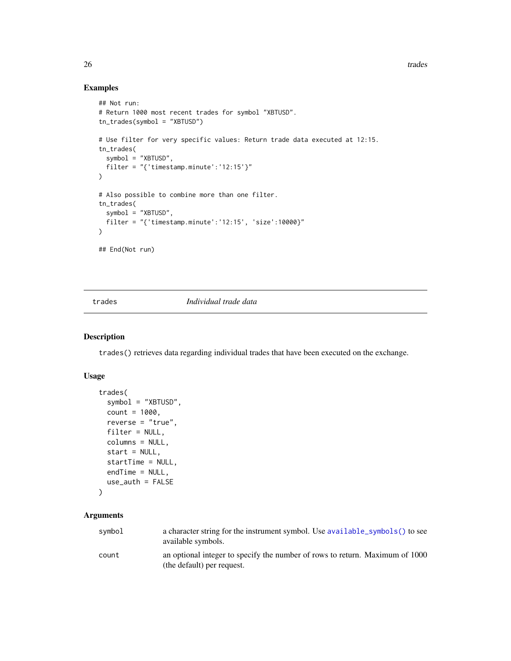26 trades and the contract of the contract of the contract of the contract of the contract of the contract of the contract of the contract of the contract of the contract of the contract of the contract of the contract of

# Examples

```
## Not run:
# Return 1000 most recent trades for symbol "XBTUSD".
tn_trades(symbol = "XBTUSD")
# Use filter for very specific values: Return trade data executed at 12:15.
tn_trades(
  symbol = "XBTUSD",
  filter = "{'timestamp.minute':'12:15'}"
)
# Also possible to combine more than one filter.
tn_trades(
 symbol = "XBTUSD",
  filter = "{'timestamp.minute':'12:15', 'size':10000}"
\lambda## End(Not run)
```
<span id="page-25-1"></span>

#### trades *Individual trade data*

#### Description

trades() retrieves data regarding individual trades that have been executed on the exchange.

# Usage

```
trades(
  symbol = "XBTUSD",
 count = 1000,
  reverse = "true",
 filter = NULL,
 columns = NULL,
 start = NULL,
  startTime = NULL,
 endTime = NULL,
 use_auth = FALSE
\mathcal{L}
```

| symbol | a character string for the instrument symbol. Use available_symbols() to see<br>available symbols.         |
|--------|------------------------------------------------------------------------------------------------------------|
| count  | an optional integer to specify the number of rows to return. Maximum of 1000<br>(the default) per request. |

<span id="page-25-0"></span>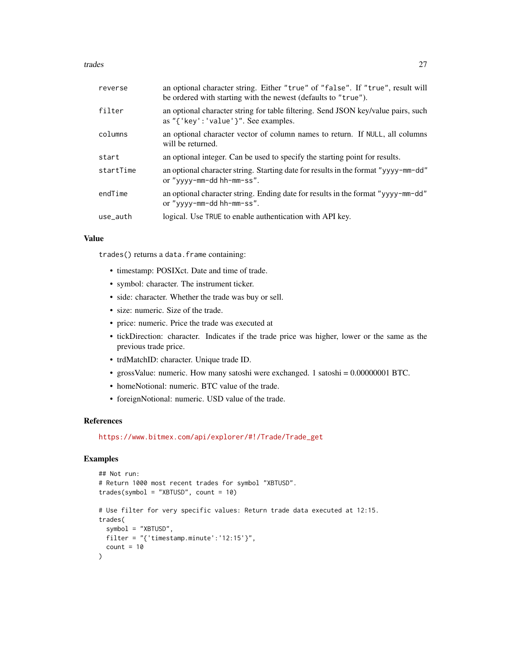trades 27

| reverse   | an optional character string. Either "true" of "false". If "true", result will<br>be ordered with starting with the newest (defaults to "true"). |
|-----------|--------------------------------------------------------------------------------------------------------------------------------------------------|
| filter    | an optional character string for table filtering. Send JSON key/value pairs, such<br>as " $\{$ 'key': 'value' $\}$ ". See examples.              |
| columns   | an optional character vector of column names to return. If NULL, all columns<br>will be returned.                                                |
| start     | an optional integer. Can be used to specify the starting point for results.                                                                      |
| startTime | an optional character string. Starting date for results in the format "yyyy-mm-dd"<br>or "yyyy-mm-dd hh-mm-ss".                                  |
| endTime   | an optional character string. Ending date for results in the format "yyyy-mm-dd"<br>or "yyyy-mm-dd hh-mm-ss".                                    |
| use_auth  | logical. Use TRUE to enable authentication with API key.                                                                                         |
|           |                                                                                                                                                  |

# Value

trades() returns a data.frame containing:

- timestamp: POSIXct. Date and time of trade.
- symbol: character. The instrument ticker.
- side: character. Whether the trade was buy or sell.
- size: numeric. Size of the trade.
- price: numeric. Price the trade was executed at
- tickDirection: character. Indicates if the trade price was higher, lower or the same as the previous trade price.
- trdMatchID: character. Unique trade ID.
- grossValue: numeric. How many satoshi were exchanged. 1 satoshi = 0.00000001 BTC.
- homeNotional: numeric. BTC value of the trade.
- foreignNotional: numeric. USD value of the trade.

#### References

[https://www.bitmex.com/api/explorer/#!/Trade/Trade\\_get](https://www.bitmex.com/api/explorer/#!/Trade/Trade_get)

# Examples

```
## Not run:
# Return 1000 most recent trades for symbol "XBTUSD".
trades(symbol = "XBTUSD", count = 10)
# Use filter for very specific values: Return trade data executed at 12:15.
trades(
 symbol = "XBTUSD",
 filter = "{\text{}' timestamp.minute':'12:15'}",
 count = 10)
```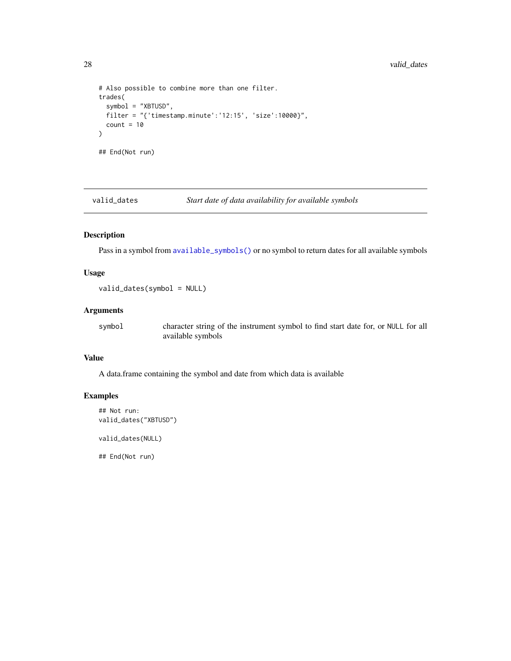```
# Also possible to combine more than one filter.
trades(
  symbol = "XBTUSD",
  filter = "{'timestamp.minute':'12:15', 'size':10000}",
  count = 10)
## End(Not run)
```
valid\_dates *Start date of data availability for available symbols*

# Description

Pass in a symbol from [available\\_symbols\(\)](#page-1-1) or no symbol to return dates for all available symbols

# Usage

```
valid_dates(symbol = NULL)
```
### Arguments

symbol character string of the instrument symbol to find start date for, or NULL for all available symbols

# Value

A data.frame containing the symbol and date from which data is available

# Examples

```
## Not run:
valid_dates("XBTUSD")
```
valid\_dates(NULL)

## End(Not run)

<span id="page-27-0"></span>